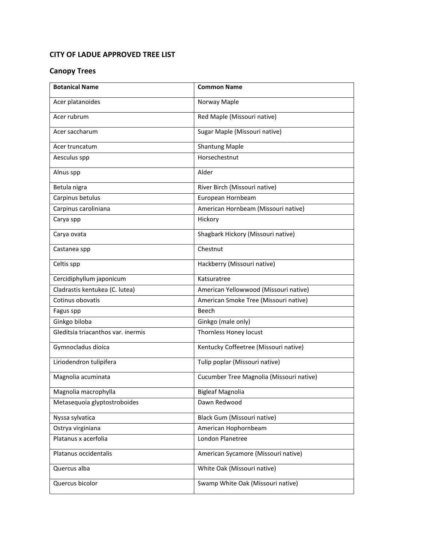#### **CITY OF LADUE APPROVED TREE LIST**

#### **Canopy Trees**

| <b>Botanical Name</b>              | <b>Common Name</b>                       |
|------------------------------------|------------------------------------------|
| Acer platanoides                   | Norway Maple                             |
| Acer rubrum                        | Red Maple (Missouri native)              |
| Acer saccharum                     | Sugar Maple (Missouri native)            |
| Acer truncatum                     | <b>Shantung Maple</b>                    |
| Aesculus spp                       | Horsechestnut                            |
| Alnus spp                          | Alder                                    |
| Betula nigra                       | River Birch (Missouri native)            |
| Carpinus betulus                   | European Hornbeam                        |
| Carpinus caroliniana               | American Hornbeam (Missouri native)      |
| Carya spp                          | Hickory                                  |
| Carya ovata                        | Shagbark Hickory (Missouri native)       |
| Castanea spp                       | Chestnut                                 |
| Celtis spp                         | Hackberry (Missouri native)              |
| Cercidiphyllum japonicum           | Katsuratree                              |
| Cladrastis kentukea (C. lutea)     | American Yellowwood (Missouri native)    |
| Cotinus obovatis                   | American Smoke Tree (Missouri native)    |
| Fagus spp                          | <b>Beech</b>                             |
| Ginkgo biloba                      | Ginkgo (male only)                       |
| Gleditsia triacanthos var. inermis | Thornless Honey locust                   |
| Gymnocladus dioica                 | Kentucky Coffeetree (Missouri native)    |
| Liriodendron tulipifera            | Tulip poplar (Missouri native)           |
| Magnolia acuminata                 | Cucumber Tree Magnolia (Missouri native) |
| Magnolia macrophylla               | Bigleaf Magnolia                         |
| Metasequoia glyptostroboides       | Dawn Redwood                             |
| Nyssa sylvatica                    | Black Gum (Missouri native)              |
| Ostrya virginiana                  | American Hophornbeam                     |
| Platanus x acerfolia               | London Planetree                         |
| Platanus occidentalis              | American Sycamore (Missouri native)      |
| Quercus alba                       | White Oak (Missouri native)              |
| Quercus bicolor                    | Swamp White Oak (Missouri native)        |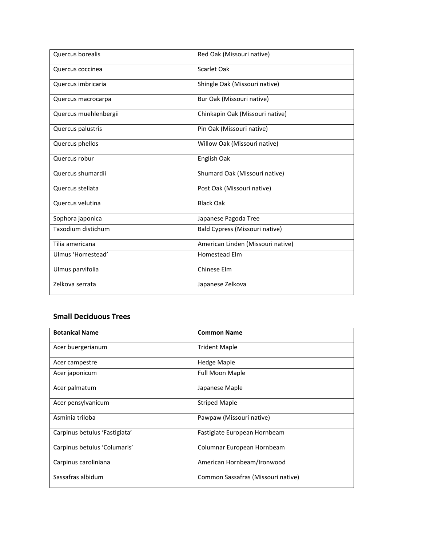| Quercus borealis      | Red Oak (Missouri native)         |
|-----------------------|-----------------------------------|
| Quercus coccinea      | Scarlet Oak                       |
| Quercus imbricaria    | Shingle Oak (Missouri native)     |
| Quercus macrocarpa    | Bur Oak (Missouri native)         |
| Quercus muehlenbergii | Chinkapin Oak (Missouri native)   |
| Quercus palustris     | Pin Oak (Missouri native)         |
| Quercus phellos       | Willow Oak (Missouri native)      |
| Quercus robur         | English Oak                       |
| Quercus shumardii     | Shumard Oak (Missouri native)     |
| Quercus stellata      | Post Oak (Missouri native)        |
| Quercus velutina      | <b>Black Oak</b>                  |
| Sophora japonica      | Japanese Pagoda Tree              |
| Taxodium distichum    | Bald Cypress (Missouri native)    |
| Tilia americana       | American Linden (Missouri native) |
| Ulmus 'Homestead'     | <b>Homestead Elm</b>              |
| Ulmus parvifolia      | Chinese Elm                       |
| Zelkova serrata       | Japanese Zelkova                  |

## **Small Deciduous Trees**

| <b>Botanical Name</b>         | <b>Common Name</b>                 |
|-------------------------------|------------------------------------|
| Acer buergerianum             | <b>Trident Maple</b>               |
| Acer campestre                | <b>Hedge Maple</b>                 |
| Acer japonicum                | <b>Full Moon Maple</b>             |
| Acer palmatum                 | Japanese Maple                     |
| Acer pensylvanicum            | <b>Striped Maple</b>               |
| Asminia triloba               | Pawpaw (Missouri native)           |
| Carpinus betulus 'Fastigiata' | Fastigiate European Hornbeam       |
| Carpinus betulus 'Columaris'  | Columnar European Hornbeam         |
| Carpinus caroliniana          | American Hornbeam/Ironwood         |
| Sassafras albidum             | Common Sassafras (Missouri native) |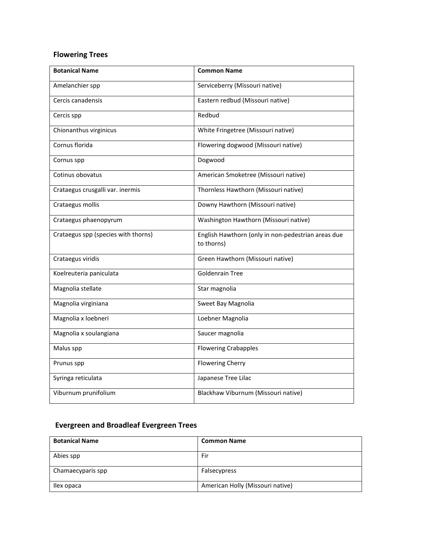# **Flowering Trees**

| <b>Botanical Name</b>               | <b>Common Name</b>                                               |
|-------------------------------------|------------------------------------------------------------------|
| Amelanchier spp                     | Serviceberry (Missouri native)                                   |
| Cercis canadensis                   | Eastern redbud (Missouri native)                                 |
| Cercis spp                          | Redbud                                                           |
| Chionanthus virginicus              | White Fringetree (Missouri native)                               |
| Cornus florida                      | Flowering dogwood (Missouri native)                              |
| Cornus spp                          | Dogwood                                                          |
| Cotinus obovatus                    | American Smoketree (Missouri native)                             |
| Crataegus crusgalli var. inermis    | Thornless Hawthorn (Missouri native)                             |
| Crataegus mollis                    | Downy Hawthorn (Missouri native)                                 |
| Crataegus phaenopyrum               | Washington Hawthorn (Missouri native)                            |
| Crataegus spp (species with thorns) | English Hawthorn (only in non-pedestrian areas due<br>to thorns) |
| Crataegus viridis                   | Green Hawthorn (Missouri native)                                 |
| Koelreuteria paniculata             | <b>Goldenrain Tree</b>                                           |
| Magnolia stellate                   | Star magnolia                                                    |
| Magnolia virginiana                 | Sweet Bay Magnolia                                               |
| Magnolia x loebneri                 | Loebner Magnolia                                                 |
| Magnolia x soulangiana              | Saucer magnolia                                                  |
| Malus spp                           | <b>Flowering Crabapples</b>                                      |
| Prunus spp                          | <b>Flowering Cherry</b>                                          |
| Syringa reticulata                  | Japanese Tree Lilac                                              |
| Viburnum prunifolium                | Blackhaw Viburnum (Missouri native)                              |

### **Evergreen and Broadleaf Evergreen Trees**

| <b>Botanical Name</b> | <b>Common Name</b>               |
|-----------------------|----------------------------------|
| Abies spp             | Fir                              |
| Chamaecyparis spp     | Falsecypress                     |
| llex opaca            | American Holly (Missouri native) |